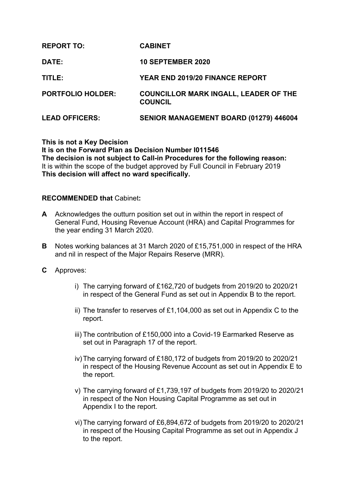| <b>REPORT TO:</b>        | <b>CABINET</b>                                                 |
|--------------------------|----------------------------------------------------------------|
| <b>DATE:</b>             | <b>10 SEPTEMBER 2020</b>                                       |
| TITLE:                   | <b>YEAR END 2019/20 FINANCE REPORT</b>                         |
| <b>PORTFOLIO HOLDER:</b> | <b>COUNCILLOR MARK INGALL, LEADER OF THE</b><br><b>COUNCIL</b> |
| <b>LEAD OFFICERS:</b>    | SENIOR MANAGEMENT BOARD (01279) 446004                         |

**This is not a Key Decision It is on the Forward Plan as Decision Number I011546 The decision is not subject to Call-in Procedures for the following reason:** It is within the scope of the budget approved by Full Council in February 2019 **This decision will affect no ward specifically.**

#### **RECOMMENDED that** Cabinet**:**

- **A** Acknowledges the outturn position set out in within the report in respect of General Fund, Housing Revenue Account (HRA) and Capital Programmes for the year ending 31 March 2020.
- **B** Notes working balances at 31 March 2020 of £15,751,000 in respect of the HRA and nil in respect of the Major Repairs Reserve (MRR).
- **C** Approves:
	- i) The carrying forward of £162,720 of budgets from 2019/20 to 2020/21 in respect of the General Fund as set out in Appendix B to the report.
	- ii) The transfer to reserves of £1,104,000 as set out in Appendix C to the report.
	- iii) The contribution of £150,000 into a Covid-19 Earmarked Reserve as set out in Paragraph 17 of the report.
	- iv)The carrying forward of £180,172 of budgets from 2019/20 to 2020/21 in respect of the Housing Revenue Account as set out in Appendix E to the report.
	- v) The carrying forward of £1,739,197 of budgets from 2019/20 to 2020/21 in respect of the Non Housing Capital Programme as set out in Appendix I to the report.
	- vi)The carrying forward of £6,894,672 of budgets from 2019/20 to 2020/21 in respect of the Housing Capital Programme as set out in Appendix J to the report.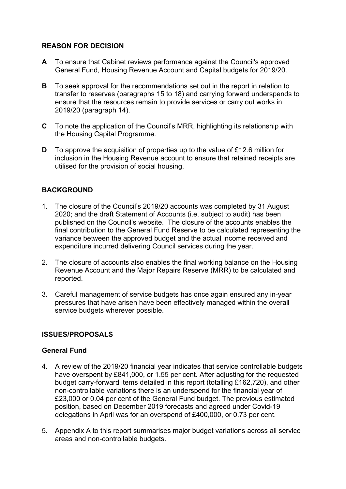## **REASON FOR DECISION**

- **A** To ensure that Cabinet reviews performance against the Council's approved General Fund, Housing Revenue Account and Capital budgets for 2019/20.
- **B** To seek approval for the recommendations set out in the report in relation to transfer to reserves (paragraphs 15 to 18) and carrying forward underspends to ensure that the resources remain to provide services or carry out works in 2019/20 (paragraph 14).
- **C** To note the application of the Council's MRR, highlighting its relationship with the Housing Capital Programme.
- **D** To approve the acquisition of properties up to the value of £12.6 million for inclusion in the Housing Revenue account to ensure that retained receipts are utilised for the provision of social housing.

# **BACKGROUND**

- 1. The closure of the Council's 2019/20 accounts was completed by 31 August 2020; and the draft Statement of Accounts (i.e. subject to audit) has been published on the Council's website. The closure of the accounts enables the final contribution to the General Fund Reserve to be calculated representing the variance between the approved budget and the actual income received and expenditure incurred delivering Council services during the year.
- 2. The closure of accounts also enables the final working balance on the Housing Revenue Account and the Major Repairs Reserve (MRR) to be calculated and reported.
- 3. Careful management of service budgets has once again ensured any in-year pressures that have arisen have been effectively managed within the overall service budgets wherever possible.

# **ISSUES/PROPOSALS**

## **General Fund**

- 4. A review of the 2019/20 financial year indicates that service controllable budgets have overspent by £841,000, or 1.55 per cent. After adjusting for the requested budget carry-forward items detailed in this report (totalling £162,720), and other non-controllable variations there is an underspend for the financial year of £23,000 or 0.04 per cent of the General Fund budget. The previous estimated position, based on December 2019 forecasts and agreed under Covid-19 delegations in April was for an overspend of £400,000, or 0.73 per cent.
- 5. Appendix A to this report summarises major budget variations across all service areas and non-controllable budgets.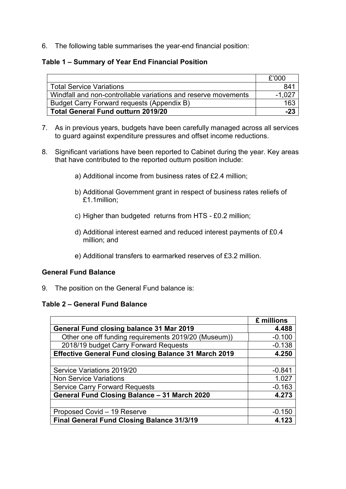6. The following table summarises the year-end financial position:

# **Table 1 – Summary of Year End Financial Position**

|                                                                | £'000  |
|----------------------------------------------------------------|--------|
| <b>Total Service Variations</b>                                | 841    |
| Windfall and non-controllable variations and reserve movements | -1.027 |
| Budget Carry Forward requests (Appendix B)                     | 163    |
| <b>Total General Fund outturn 2019/20</b>                      | $-23$  |

- 7. As in previous years, budgets have been carefully managed across all services to guard against expenditure pressures and offset income reductions.
- 8. Significant variations have been reported to Cabinet during the year. Key areas that have contributed to the reported outturn position include:
	- a) Additional income from business rates of £2.4 million;
	- b) Additional Government grant in respect of business rates reliefs of £1.1million;
	- c) Higher than budgeted returns from HTS £0.2 million;
	- d) Additional interest earned and reduced interest payments of £0.4 million; and
	- e) Additional transfers to earmarked reserves of £3.2 million.

# **General Fund Balance**

9. The position on the General Fund balance is:

## **Table 2 – General Fund Balance**

|                                                             | £ millions |
|-------------------------------------------------------------|------------|
| <b>General Fund closing balance 31 Mar 2019</b>             | 4.488      |
| Other one off funding requirements 2019/20 (Museum))        | $-0.100$   |
| 2018/19 budget Carry Forward Requests                       | $-0.138$   |
| <b>Effective General Fund closing Balance 31 March 2019</b> | 4.250      |
|                                                             |            |
| Service Variations 2019/20                                  | $-0.841$   |
| <b>Non Service Variations</b>                               | 1.027      |
| <b>Service Carry Forward Requests</b>                       | $-0.163$   |
| General Fund Closing Balance - 31 March 2020                | 4.273      |
|                                                             |            |
| Proposed Covid - 19 Reserve                                 | $-0.150$   |
| Final General Fund Closing Balance 31/3/19                  | 4.123      |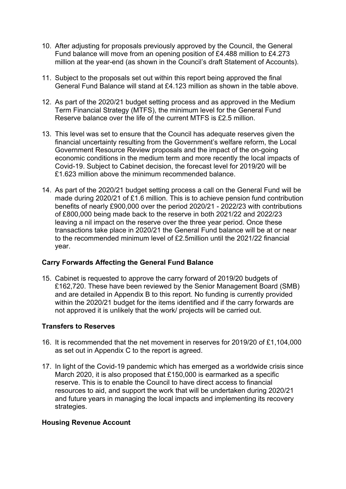- 10. After adjusting for proposals previously approved by the Council, the General Fund balance will move from an opening position of £4.488 million to £4.273 million at the year-end (as shown in the Council's draft Statement of Accounts).
- 11. Subject to the proposals set out within this report being approved the final General Fund Balance will stand at £4.123 million as shown in the table above.
- 12. As part of the 2020/21 budget setting process and as approved in the Medium Term Financial Strategy (MTFS), the minimum level for the General Fund Reserve balance over the life of the current MTFS is £2.5 million.
- 13. This level was set to ensure that the Council has adequate reserves given the financial uncertainty resulting from the Government's welfare reform, the Local Government Resource Review proposals and the impact of the on-going economic conditions in the medium term and more recently the local impacts of Covid-19. Subject to Cabinet decision, the forecast level for 2019/20 will be £1.623 million above the minimum recommended balance.
- 14. As part of the 2020/21 budget setting process a call on the General Fund will be made during 2020/21 of £1.6 million. This is to achieve pension fund contribution benefits of nearly £900,000 over the period 2020/21 - 2022/23 with contributions of £800,000 being made back to the reserve in both 2021/22 and 2022/23 leaving a nil impact on the reserve over the three year period. Once these transactions take place in 2020/21 the General Fund balance will be at or near to the recommended minimum level of £2.5million until the 2021/22 financial year.

# **Carry Forwards Affecting the General Fund Balance**

15. Cabinet is requested to approve the carry forward of 2019/20 budgets of £162,720. These have been reviewed by the Senior Management Board (SMB) and are detailed in Appendix B to this report. No funding is currently provided within the 2020/21 budget for the items identified and if the carry forwards are not approved it is unlikely that the work/ projects will be carried out.

# **Transfers to Reserves**

- 16. It is recommended that the net movement in reserves for 2019/20 of £1,104,000 as set out in Appendix C to the report is agreed.
- 17. In light of the Covid-19 pandemic which has emerged as a worldwide crisis since March 2020, it is also proposed that £150,000 is earmarked as a specific reserve. This is to enable the Council to have direct access to financial resources to aid, and support the work that will be undertaken during 2020/21 and future years in managing the local impacts and implementing its recovery strategies.

# **Housing Revenue Account**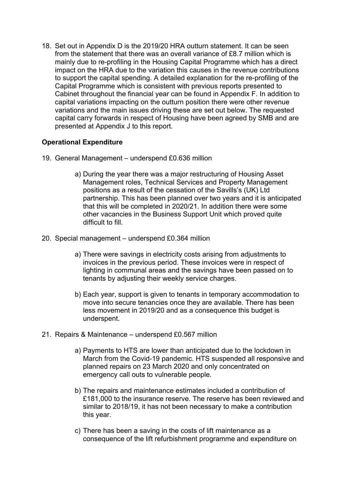18. Set out in Appendix D is the 2019/20 HRA outturn statement. It can be seen from the statement that there was an overall variance of £8.7 million which is mainly due to re-profiling in the Housing Capital Programme which has a direct impact on the HRA due to the variation this causes in the revenue contributions to support the capital spending. A detailed explanation for the re-profiling of the Capital Programme which is consistent with previous reports presented to Cabinet throughout the financial year can be found in Appendix F. In addition to capital variations impacting on the outturn position there were other revenue variations and the main issues driving these are set out below. The requested capital carry forwards in respect of Housing have been agreed by SMB and are presented at Appendix J to this report.

## **Operational Expenditure**

- 19. General Management underspend £0.636 million
	- a) During the year there was a major restructuring of Housing Asset Management roles, Technical Services and Property Management positions as a result of the cessation of the Savills's (UK) Ltd partnership. This has been planned over two years and it is anticipated that this will be completed in 2020/21. In addition there were some other vacancies in the Business Support Unit which proved quite difficult to fill.
- 20. Special management underspend £0.364 million
	- a) There were savings in electricity costs arising from adjustments to invoices in the previous period. These invoices were in respect of lighting in communal areas and the savings have been passed on to tenants by adjusting their weekly service charges.
	- b) Each year, support is given to tenants in temporary accommodation to move into secure tenancies once they are available. There has been less movement in 2019/20 and as a consequence this budget is underspent.
- 21. Repairs & Maintenance underspend £0.567 million
	- a) Payments to HTS are lower than anticipated due to the lockdown in March from the Covid-19 pandemic. HTS suspended all responsive and planned repairs on 23 March 2020 and only concentrated on emergency call outs to vulnerable people.
	- b) The repairs and maintenance estimates included a contribution of £181,000 to the insurance reserve. The reserve has been reviewed and similar to 2018/19, it has not been necessary to make a contribution this year.
	- c) There has been a saving in the costs of lift maintenance as a consequence of the lift refurbishment programme and expenditure on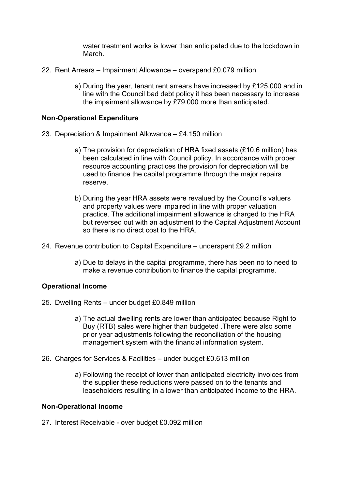water treatment works is lower than anticipated due to the lockdown in March.

- 22. Rent Arrears Impairment Allowance overspend £0.079 million
	- a) During the year, tenant rent arrears have increased by £125,000 and in line with the Council bad debt policy it has been necessary to increase the impairment allowance by £79,000 more than anticipated.

## **Non-Operational Expenditure**

- 23. Depreciation & Impairment Allowance £4.150 million
	- a) The provision for depreciation of HRA fixed assets (£10.6 million) has been calculated in line with Council policy. In accordance with proper resource accounting practices the provision for depreciation will be used to finance the capital programme through the major repairs reserve.
	- b) During the year HRA assets were revalued by the Council's valuers and property values were impaired in line with proper valuation practice. The additional impairment allowance is charged to the HRA but reversed out with an adjustment to the Capital Adjustment Account so there is no direct cost to the HRA.
- 24. Revenue contribution to Capital Expenditure underspent £9.2 million
	- a) Due to delays in the capital programme, there has been no to need to make a revenue contribution to finance the capital programme.

#### **Operational Income**

- 25. Dwelling Rents under budget £0.849 million
	- a) The actual dwelling rents are lower than anticipated because Right to Buy (RTB) sales were higher than budgeted .There were also some prior year adjustments following the reconciliation of the housing management system with the financial information system.
- 26. Charges for Services & Facilities under budget £0.613 million
	- a) Following the receipt of lower than anticipated electricity invoices from the supplier these reductions were passed on to the tenants and leaseholders resulting in a lower than anticipated income to the HRA.

#### **Non-Operational Income**

27. Interest Receivable - over budget £0.092 million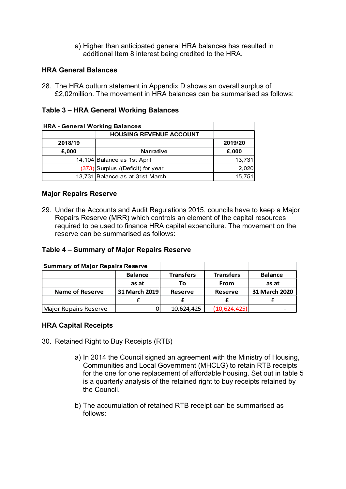a) Higher than anticipated general HRA balances has resulted in additional Item 8 interest being credited to the HRA.

## **HRA General Balances**

28. The HRA outturn statement in Appendix D shows an overall surplus of £2,02million. The movement in HRA balances can be summarised as follows:

## **Table 3 – HRA General Working Balances**

| <b>HRA - General Working Balances</b> |                                   |         |  |
|---------------------------------------|-----------------------------------|---------|--|
|                                       | <b>HOUSING REVENUE ACCOUNT</b>    |         |  |
| 2018/19                               |                                   | 2019/20 |  |
| £,000                                 | <b>Narrative</b>                  | £,000   |  |
|                                       | 14,104 Balance as 1st April       | 13,731  |  |
|                                       | (373) Surplus /(Deficit) for year | 2,020   |  |
|                                       | 13,731 Balance as at 31st March   | 15,751  |  |

## **Major Repairs Reserve**

29. Under the Accounts and Audit Regulations 2015, councils have to keep a Major Repairs Reserve (MRR) which controls an element of the capital resources required to be used to finance HRA capital expenditure. The movement on the reserve can be summarised as follows:

## **Table 4 – Summary of Major Repairs Reserve**

| <b>Summary of Major Repairs Reserve</b> |                |                  |                  |                |
|-----------------------------------------|----------------|------------------|------------------|----------------|
|                                         | <b>Balance</b> | <b>Transfers</b> | <b>Transfers</b> | <b>Balance</b> |
|                                         | as at          | Тο               | <b>From</b>      | as at          |
| <b>Name of Reserve</b>                  | 31 March 2019  | Reserve          | <b>Reserve</b>   | 31 March 2020  |
|                                         |                |                  |                  |                |
| Major Repairs Reserve                   |                | 10,624,425       | (10, 624, 425)   |                |

## **HRA Capital Receipts**

- 30. Retained Right to Buy Receipts (RTB)
	- a) In 2014 the Council signed an agreement with the Ministry of Housing, Communities and Local Government (MHCLG) to retain RTB receipts for the one for one replacement of affordable housing. Set out in table 5 is a quarterly analysis of the retained right to buy receipts retained by the Council.
	- b) The accumulation of retained RTB receipt can be summarised as follows: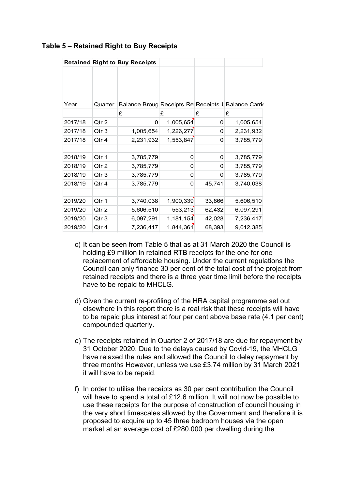|         |         | <b>Retained Right to Buy Receipts</b>               |           |          |           |
|---------|---------|-----------------------------------------------------|-----------|----------|-----------|
| Year    | Quarter | Balance Broug Receipts Re Receipts U Balance Carric |           |          |           |
|         |         | £                                                   | £         | £        | £         |
| 2017/18 | Qtr 2   | 0                                                   | 1,005,654 | $\Omega$ | 1,005,654 |
| 2017/18 | Qtr 3   | 1,005,654                                           | 1,226,277 | 0        | 2,231,932 |
| 2017/18 | Qtr 4   | 2,231,932                                           | 1,553,847 | 0        | 3,785,779 |
|         |         |                                                     |           |          |           |
| 2018/19 | Qtr 1   | 3,785,779                                           | 0         | 0        | 3,785,779 |
| 2018/19 | Qtr 2   | 3,785,779                                           | 0         | 0        | 3,785,779 |
| 2018/19 | Qtr 3   | 3,785,779                                           | 0         | 0        | 3,785,779 |
| 2018/19 | Qtr 4   | 3,785,779                                           | 0         | 45,741   | 3,740,038 |
|         |         |                                                     |           |          |           |
| 2019/20 | Qtr 1   | 3,740,038                                           | 1,900,339 | 33,866   | 5,606,510 |
| 2019/20 | Qtr 2   | 5,606,510                                           | 553,213   | 62,432   | 6,097,291 |
| 2019/20 | Qtr 3   | 6,097,291                                           | 1,181,154 | 42,028   | 7,236,417 |
| 2019/20 | Qtr 4   | 7,236,417                                           | 1,844,361 | 68,393   | 9,012,385 |

# **Table 5 – Retained Right to Buy Receipts**

- c) It can be seen from Table 5 that as at 31 March 2020 the Council is holding £9 million in retained RTB receipts for the one for one replacement of affordable housing. Under the current regulations the Council can only finance 30 per cent of the total cost of the project from retained receipts and there is a three year time limit before the receipts have to be repaid to MHCLG.
- d) Given the current re-profiling of the HRA capital programme set out elsewhere in this report there is a real risk that these receipts will have to be repaid plus interest at four per cent above base rate (4.1 per cent) compounded quarterly.
- e) The receipts retained in Quarter 2 of 2017/18 are due for repayment by 31 October 2020. Due to the delays caused by Covid-19, the MHCLG have relaxed the rules and allowed the Council to delay repayment by three months However, unless we use £3.74 million by 31 March 2021 it will have to be repaid.
- f) In order to utilise the receipts as 30 per cent contribution the Council will have to spend a total of £12.6 million. It will not now be possible to use these receipts for the purpose of construction of council housing in the very short timescales allowed by the Government and therefore it is proposed to acquire up to 45 three bedroom houses via the open market at an average cost of £280,000 per dwelling during the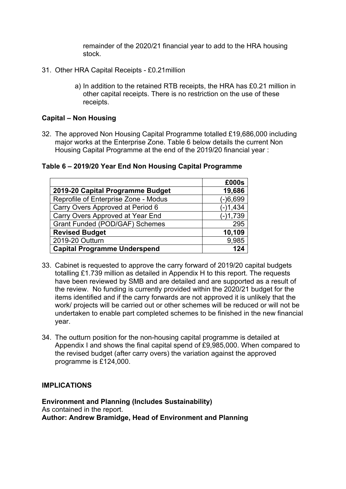remainder of the 2020/21 financial year to add to the HRA housing stock.

- 31. Other HRA Capital Receipts £0.21million
	- a) In addition to the retained RTB receipts, the HRA has £0.21 million in other capital receipts. There is no restriction on the use of these receipts.

## **Capital – Non Housing**

32. The approved Non Housing Capital Programme totalled £19,686,000 including major works at the Enterprise Zone. Table 6 below details the current Non Housing Capital Programme at the end of the 2019/20 financial year :

**Table 6 – 2019/20 Year End Non Housing Capital Programme**

|                                      | £000s      |
|--------------------------------------|------------|
| 2019-20 Capital Programme Budget     | 19,686     |
| Reprofile of Enterprise Zone - Modus | $(-)6,699$ |
| Carry Overs Approved at Period 6     | $(-)1,434$ |
| Carry Overs Approved at Year End     | $(-)1,739$ |
| Grant Funded (POD/GAF) Schemes       | 295        |
| <b>Revised Budget</b>                | 10,109     |
| 2019-20 Outturn                      | 9,985      |
| <b>Capital Programme Underspend</b>  | 124        |

- 33. Cabinet is requested to approve the carry forward of 2019/20 capital budgets totalling £1.739 million as detailed in Appendix H to this report. The requests have been reviewed by SMB and are detailed and are supported as a result of the review. No funding is currently provided within the 2020/21 budget for the items identified and if the carry forwards are not approved it is unlikely that the work/ projects will be carried out or other schemes will be reduced or will not be undertaken to enable part completed schemes to be finished in the new financial year.
- 34. The outturn position for the non-housing capital programme is detailed at Appendix I and shows the final capital spend of £9,985,000. When compared to the revised budget (after carry overs) the variation against the approved programme is £124,000.

## **IMPLICATIONS**

**Environment and Planning (Includes Sustainability)** As contained in the report. **Author: Andrew Bramidge, Head of Environment and Planning**